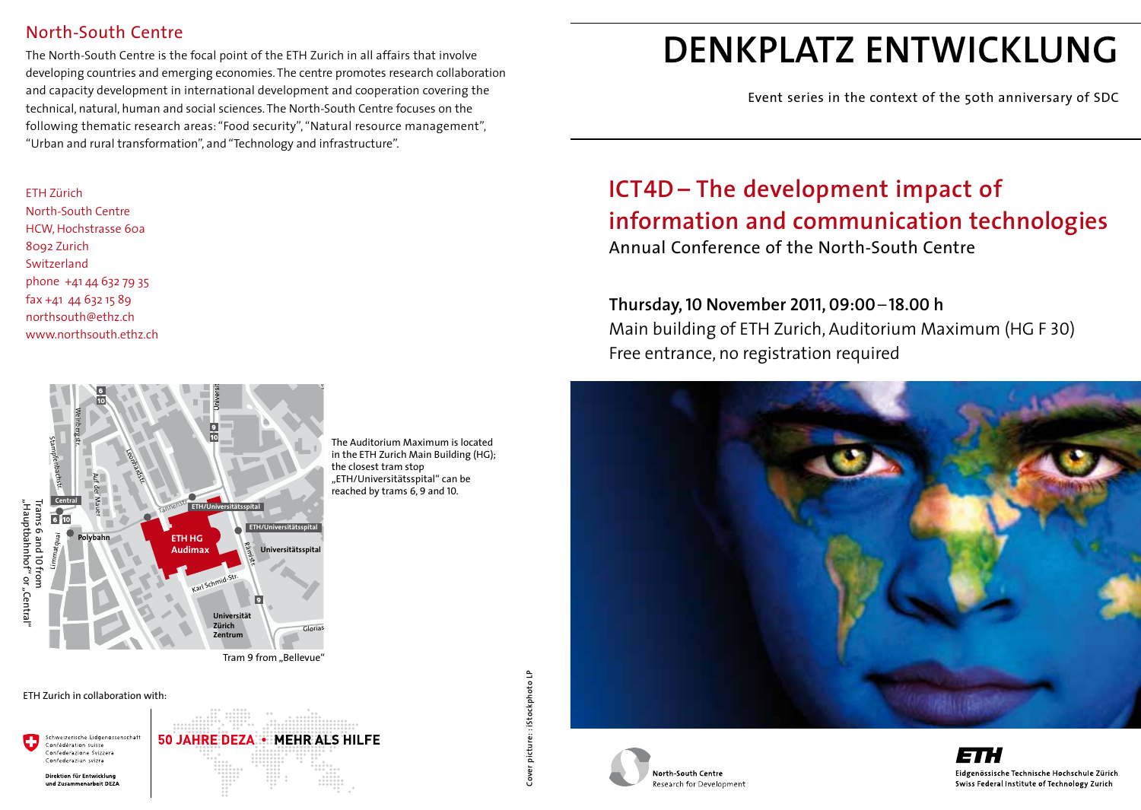#### North-South Centre

The North-South Centre is the focal point of the ETH Zurich in all affairs that involve developing countries and emerging economies. The centre promotes research collaboration and capacity development in international development and cooperation covering the technical, natural, human and social sciences. The North-South Centre focuses on the following thematic research areas: "Food security", "Natural resource management", "Urban and rural transformation", and "Technology and infrastructure".

### <mark>ETH Zürich</mark><br>North-Sout

n<br>S North-South Centre<br>HCW, Hochstrasse 60a northsouth@ethz.ch<br>www.northsouth.eth www.northsouth.e<mark>t</mark>hz.ch . .<br>.1 .<br>SOI North-South Centre 8092 Zurich Switzerland phone +41 44 632 79 35 fax +41 44 632 15 89



reached by trams 6, 9 and 10. the closest tram stop<br>"ETH/Universitätsspital" can be<br>reached by trams 6,9 and 10. The Auditorium Maximum is located in the ETH Zurich Main Building (HG); the closest tram stop

ETH Zurich in collaboration with:

Schweizerische Eidgenossenschaft **50 JAHRE DEZA . MEHR ALS HILFE** Confédération suisse Confederazione Svizzera Confederaziun svizra Direktion für Entwicklung und Zusammenarheit DEZA

# Cover picture: : iStockphoto LP **Cover picture: : iStockphoto LP**

# **denkplatz entwicklung**

Event series in the context of the 50th anniversary of SDC

## **ICT4D – The development impact of information and communication technologies**

Annual Conference of the North-South Centre

**Thursday, 10 November 2011, 09:00***–***18.00 h** Main building of ETH Zurich, Auditorium Maximum (HG F 30) Free entrance, no registration required